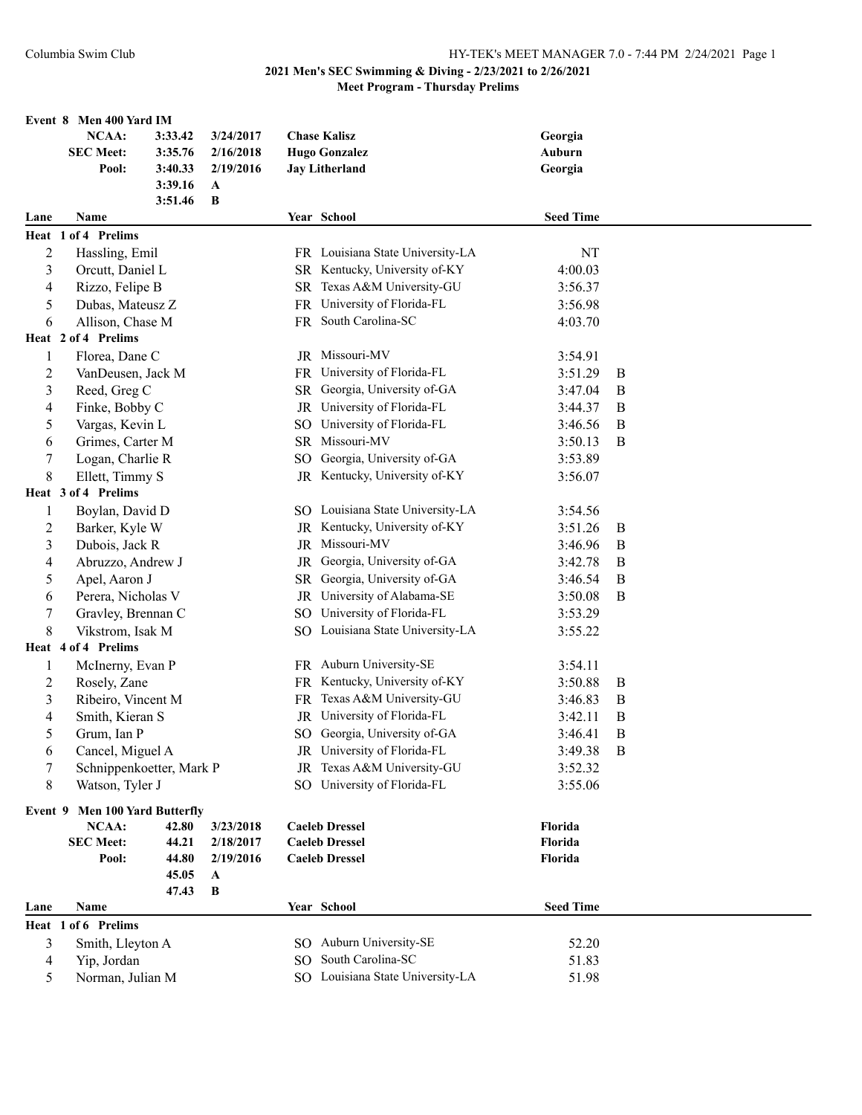|                | Event 8 Men 400 Yard IM        |         |           |                 |                                  |                  |                  |
|----------------|--------------------------------|---------|-----------|-----------------|----------------------------------|------------------|------------------|
|                | NCAA:                          | 3:33.42 | 3/24/2017 |                 | <b>Chase Kalisz</b>              | Georgia          |                  |
|                | <b>SEC Meet:</b>               | 3:35.76 | 2/16/2018 |                 | <b>Hugo Gonzalez</b>             | Auburn           |                  |
|                | Pool:                          | 3:40.33 | 2/19/2016 |                 | <b>Jay Litherland</b>            | Georgia          |                  |
|                |                                | 3:39.16 | A         |                 |                                  |                  |                  |
|                |                                | 3:51.46 | B         |                 |                                  |                  |                  |
| Lane           | Name                           |         |           |                 | Year School                      | <b>Seed Time</b> |                  |
|                | Heat 1 of 4 Prelims            |         |           |                 |                                  |                  |                  |
| $\overline{2}$ | Hassling, Emil                 |         |           |                 | FR Louisiana State University-LA | NT               |                  |
| 3              | Orcutt, Daniel L               |         |           |                 | SR Kentucky, University of-KY    | 4:00.03          |                  |
| 4              | Rizzo, Felipe B                |         |           |                 | SR Texas A&M University-GU       | 3:56.37          |                  |
| 5              | Dubas, Mateusz Z               |         |           | <b>FR</b>       | University of Florida-FL         | 3:56.98          |                  |
| 6              | Allison, Chase M               |         |           |                 | FR South Carolina-SC             | 4:03.70          |                  |
|                | Heat 2 of 4 Prelims            |         |           |                 |                                  |                  |                  |
| 1              | Florea, Dane C                 |         |           |                 | JR Missouri-MV                   | 3:54.91          |                  |
|                |                                |         |           |                 | FR University of Florida-FL      |                  |                  |
| $\overline{c}$ | VanDeusen, Jack M              |         |           |                 |                                  | 3:51.29          | B                |
| 3              | Reed, Greg C                   |         |           | SR              | Georgia, University of-GA        | 3:47.04          | $\boldsymbol{B}$ |
| 4              | Finke, Bobby C                 |         |           |                 | JR University of Florida-FL      | 3:44.37          | B                |
| 5              | Vargas, Kevin L                |         |           | SO.             | University of Florida-FL         | 3:46.56          | B                |
| 6              | Grimes, Carter M               |         |           |                 | SR Missouri-MV                   | 3:50.13          | B                |
| 7              | Logan, Charlie R               |         |           | SO.             | Georgia, University of-GA        | 3:53.89          |                  |
| $\,8\,$        | Ellett, Timmy S                |         |           |                 | JR Kentucky, University of-KY    | 3:56.07          |                  |
|                | Heat 3 of 4 Prelims            |         |           |                 |                                  |                  |                  |
| $\mathbf{1}$   | Boylan, David D                |         |           |                 | SO Louisiana State University-LA | 3:54.56          |                  |
| 2              | Barker, Kyle W                 |         |           |                 | JR Kentucky, University of-KY    | 3:51.26          | $\boldsymbol{B}$ |
| 3              | Dubois, Jack R                 |         |           |                 | JR Missouri-MV                   | 3:46.96          | $\boldsymbol{B}$ |
| $\overline{4}$ | Abruzzo, Andrew J              |         |           | JR              | Georgia, University of-GA        | 3:42.78          | B                |
| 5              | Apel, Aaron J                  |         |           | SR              | Georgia, University of-GA        | 3:46.54          | B                |
| 6              | Perera, Nicholas V             |         |           |                 | JR University of Alabama-SE      | 3:50.08          | $\mathbf B$      |
| $\tau$         | Gravley, Brennan C             |         |           |                 | SO University of Florida-FL      | 3:53.29          |                  |
| $\,8\,$        | Vikstrom, Isak M               |         |           |                 | SO Louisiana State University-LA | 3:55.22          |                  |
|                | Heat 4 of 4 Prelims            |         |           |                 |                                  |                  |                  |
| 1              | McInerny, Evan P               |         |           |                 | FR Auburn University-SE          | 3:54.11          |                  |
| $\overline{c}$ | Rosely, Zane                   |         |           |                 | FR Kentucky, University of-KY    | 3:50.88          | $\boldsymbol{B}$ |
| 3              | Ribeiro, Vincent M             |         |           |                 | FR Texas A&M University-GU       | 3:46.83          | $\boldsymbol{B}$ |
| 4              | Smith, Kieran S                |         |           |                 | JR University of Florida-FL      | 3:42.11          | $\mathbf B$      |
| 5              | Grum, Ian P                    |         |           |                 | SO Georgia, University of-GA     | 3:46.41          | B                |
| 6              | Cancel, Miguel A               |         |           |                 | JR University of Florida-FL      | 3:49.38          | B                |
| 7              | Schnippenkoetter, Mark P       |         |           | <b>JR</b>       | Texas A&M University-GU          | 3:52.32          |                  |
| 8              | Watson, Tyler J                |         |           | SO <sub>2</sub> | University of Florida-FL         | 3:55.06          |                  |
|                |                                |         |           |                 |                                  |                  |                  |
|                | Event 9 Men 100 Yard Butterfly |         |           |                 |                                  |                  |                  |
|                | <b>NCAA:</b>                   | 42.80   | 3/23/2018 |                 | <b>Caeleb Dressel</b>            | Florida          |                  |
|                | <b>SEC Meet:</b>               | 44.21   | 2/18/2017 |                 | <b>Caeleb Dressel</b>            | Florida          |                  |
|                | Pool:                          | 44.80   | 2/19/2016 |                 | <b>Caeleb Dressel</b>            | Florida          |                  |
|                |                                | 45.05   | A         |                 |                                  |                  |                  |
|                |                                | 47.43   | B         |                 |                                  |                  |                  |
| Lane           | Name                           |         |           |                 | Year School                      | <b>Seed Time</b> |                  |
|                | Heat 1 of 6 Prelims            |         |           |                 |                                  |                  |                  |
| 3              | Smith, Lleyton A               |         |           |                 | SO Auburn University-SE          | 52.20            |                  |
| $\overline{4}$ | Yip, Jordan                    |         |           | SO.             | South Carolina-SC                | 51.83            |                  |
| 5              | Norman, Julian M               |         |           |                 | SO Louisiana State University-LA | 51.98            |                  |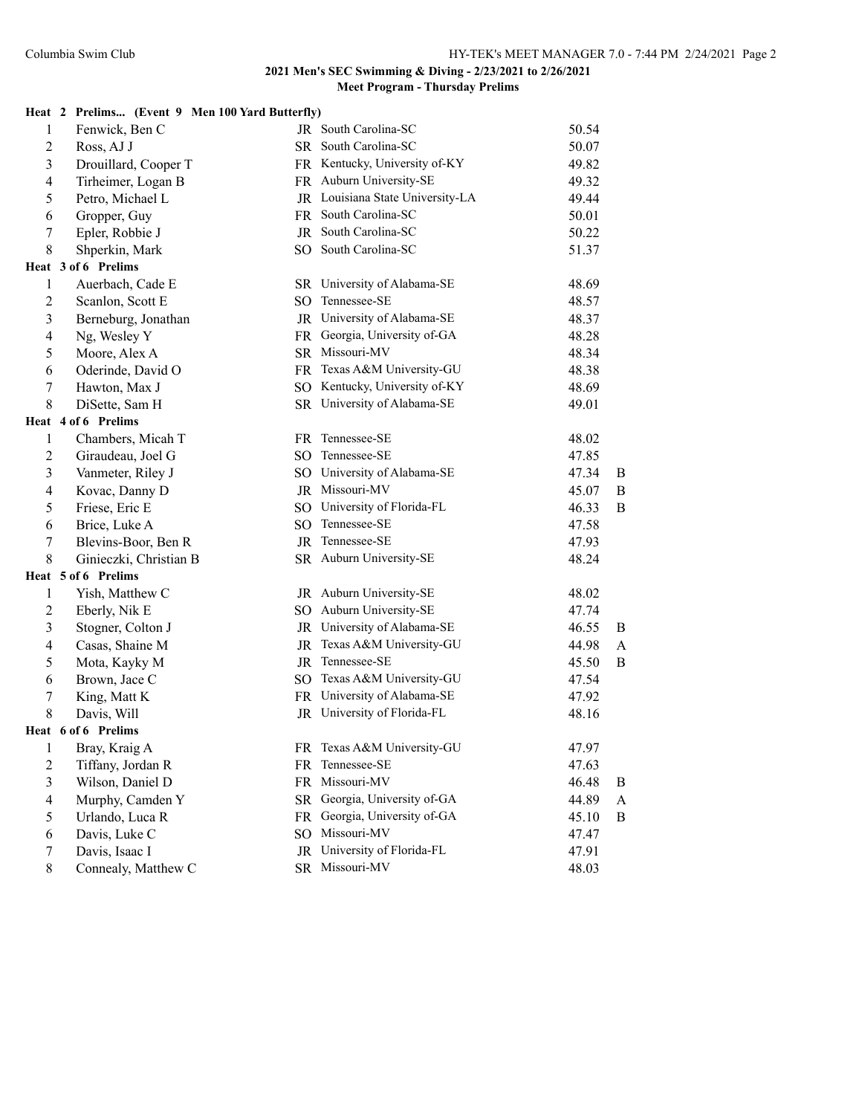|                | Heat 2 Prelims (Event 9 Men 100 Yard Butterfly) |                 |                                  |       |                  |
|----------------|-------------------------------------------------|-----------------|----------------------------------|-------|------------------|
| 1              | Fenwick, Ben C                                  |                 | JR South Carolina-SC             | 50.54 |                  |
| $\overline{2}$ | Ross, AJ J                                      |                 | SR South Carolina-SC             | 50.07 |                  |
| $\mathfrak{Z}$ | Drouillard, Cooper T                            |                 | FR Kentucky, University of-KY    | 49.82 |                  |
| $\overline{4}$ | Tirheimer, Logan B                              |                 | FR Auburn University-SE          | 49.32 |                  |
| 5              | Petro, Michael L                                |                 | JR Louisiana State University-LA | 49.44 |                  |
| 6              | Gropper, Guy                                    |                 | FR South Carolina-SC             | 50.01 |                  |
| $\tau$         | Epler, Robbie J                                 |                 | JR South Carolina-SC             | 50.22 |                  |
| 8              | Shperkin, Mark                                  |                 | SO South Carolina-SC             | 51.37 |                  |
|                | Heat 3 of 6 Prelims                             |                 |                                  |       |                  |
| 1              | Auerbach, Cade E                                |                 | SR University of Alabama-SE      | 48.69 |                  |
| $\overline{c}$ | Scanlon, Scott E                                |                 | SO Tennessee-SE                  | 48.57 |                  |
| $\overline{3}$ | Berneburg, Jonathan                             |                 | JR University of Alabama-SE      | 48.37 |                  |
| $\overline{4}$ | Ng, Wesley Y                                    |                 | FR Georgia, University of-GA     | 48.28 |                  |
| 5              | Moore, Alex A                                   |                 | SR Missouri-MV                   | 48.34 |                  |
| 6              | Oderinde, David O                               |                 | FR Texas A&M University-GU       | 48.38 |                  |
| 7              | Hawton, Max J                                   |                 | SO Kentucky, University of-KY    | 48.69 |                  |
| 8              | DiSette, Sam H                                  |                 | SR University of Alabama-SE      | 49.01 |                  |
|                | Heat 4 of 6 Prelims                             |                 |                                  |       |                  |
| 1              | Chambers, Micah T                               |                 | FR Tennessee-SE                  | 48.02 |                  |
| 2              | Giraudeau, Joel G                               |                 | SO Tennessee-SE                  | 47.85 |                  |
| $\overline{3}$ | Vanmeter, Riley J                               |                 | SO University of Alabama-SE      | 47.34 | B                |
| 4              | Kovac, Danny D                                  |                 | JR Missouri-MV                   | 45.07 | B                |
| 5              | Friese, Eric E                                  |                 | SO University of Florida-FL      | 46.33 | B                |
| 6              | Brice, Luke A                                   |                 | SO Tennessee-SE                  | 47.58 |                  |
| 7              | Blevins-Boor, Ben R                             |                 | JR Tennessee-SE                  | 47.93 |                  |
| 8              | Ginieczki, Christian B                          |                 | SR Auburn University-SE          | 48.24 |                  |
|                | Heat 5 of 6 Prelims                             |                 |                                  |       |                  |
| 1              | Yish, Matthew C                                 |                 | JR Auburn University-SE          | 48.02 |                  |
| $\mathfrak{2}$ | Eberly, Nik E                                   |                 | SO Auburn University-SE          | 47.74 |                  |
| $\mathfrak{Z}$ | Stogner, Colton J                               |                 | JR University of Alabama-SE      | 46.55 | B                |
| $\overline{4}$ | Casas, Shaine M                                 |                 | JR Texas A&M University-GU       | 44.98 | $\boldsymbol{A}$ |
| 5              | Mota, Kayky M                                   |                 | JR Tennessee-SE                  | 45.50 | B                |
| 6              | Brown, Jace C                                   |                 | SO Texas A&M University-GU       | 47.54 |                  |
| 7              | King, Matt K                                    |                 | FR University of Alabama-SE      | 47.92 |                  |
| 8              | Davis, Will                                     |                 | JR University of Florida-FL      | 48.16 |                  |
|                | Heat 6 of 6 Prelims                             |                 |                                  |       |                  |
| $\mathbf{1}$   | Bray, Kraig A                                   |                 | FR Texas A&M University-GU       | 47.97 |                  |
| $\sqrt{2}$     | Tiffany, Jordan R                               | FR              | Tennessee-SE                     | 47.63 |                  |
| $\overline{3}$ | Wilson, Daniel D                                |                 | FR Missouri-MV                   | 46.48 | B                |
| $\overline{4}$ | Murphy, Camden Y                                |                 | SR Georgia, University of-GA     | 44.89 | A                |
| 5              | Urlando, Luca R                                 |                 | FR Georgia, University of-GA     | 45.10 | B                |
| 6              | Davis, Luke C                                   | SO <sub>1</sub> | Missouri-MV                      | 47.47 |                  |
| 7              | Davis, Isaac I                                  |                 | JR University of Florida-FL      | 47.91 |                  |
| 8              | Connealy, Matthew C                             | SR              | Missouri-MV                      | 48.03 |                  |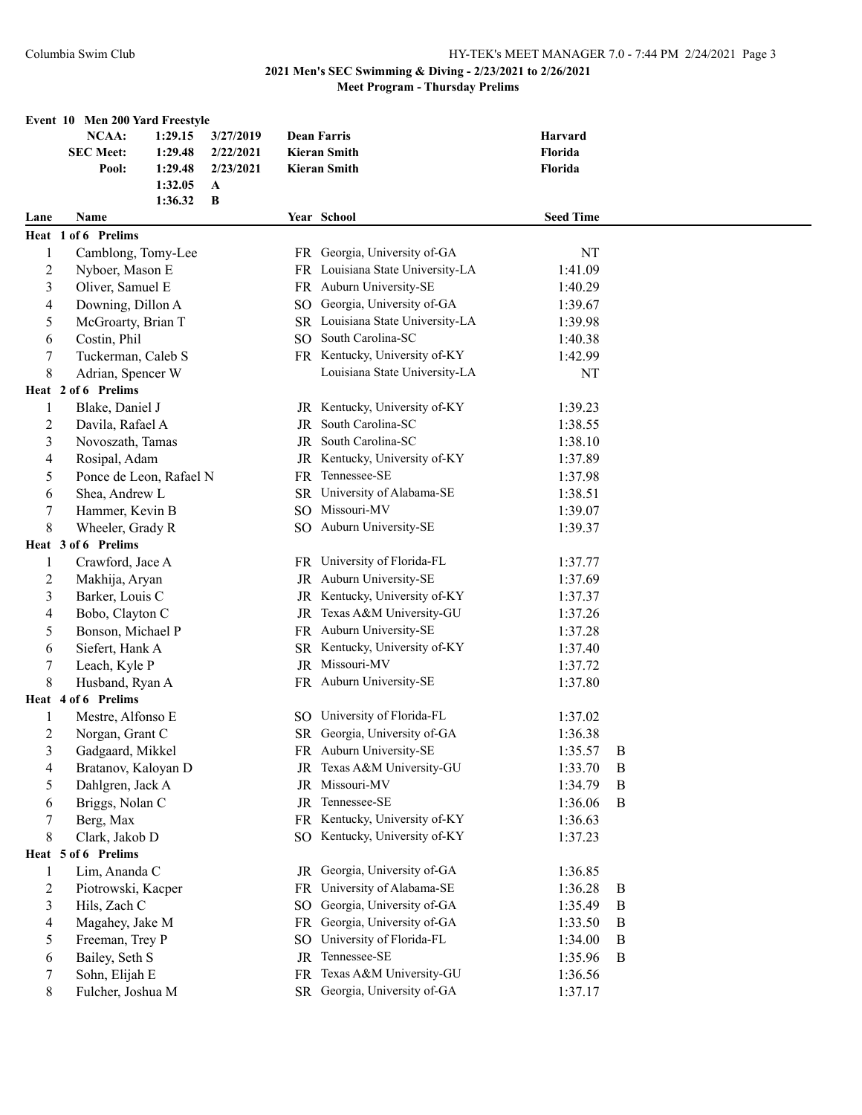|                  | Event 10 Men 200 Yard Freestyle |         |              |                 |                                  |                  |              |  |
|------------------|---------------------------------|---------|--------------|-----------------|----------------------------------|------------------|--------------|--|
|                  | <b>NCAA:</b>                    | 1:29.15 | 3/27/2019    |                 | <b>Dean Farris</b>               | Harvard          |              |  |
|                  | <b>SEC Meet:</b>                | 1:29.48 | 2/22/2021    |                 | <b>Kieran Smith</b>              | Florida          |              |  |
|                  | Pool:                           | 1:29.48 | 2/23/2021    |                 | <b>Kieran Smith</b>              | Florida          |              |  |
|                  |                                 | 1:32.05 | $\mathbf{A}$ |                 |                                  |                  |              |  |
|                  |                                 | 1:36.32 | B            |                 |                                  |                  |              |  |
| Lane             | Name                            |         |              |                 | Year School                      | <b>Seed Time</b> |              |  |
|                  | Heat 1 of 6 Prelims             |         |              |                 |                                  |                  |              |  |
| 1                | Camblong, Tomy-Lee              |         |              |                 | FR Georgia, University of-GA     | NT               |              |  |
| $\overline{2}$   | Nyboer, Mason E                 |         |              |                 | FR Louisiana State University-LA | 1:41.09          |              |  |
| $\mathfrak{Z}$   | Oliver, Samuel E                |         |              |                 | FR Auburn University-SE          | 1:40.29          |              |  |
| $\overline{4}$   | Downing, Dillon A               |         |              |                 | SO Georgia, University of-GA     | 1:39.67          |              |  |
| 5                | McGroarty, Brian T              |         |              |                 | SR Louisiana State University-LA | 1:39.98          |              |  |
| 6                | Costin, Phil                    |         |              |                 | SO South Carolina-SC             | 1:40.38          |              |  |
| $\boldsymbol{7}$ | Tuckerman, Caleb S              |         |              |                 | FR Kentucky, University of-KY    | 1:42.99          |              |  |
| 8                | Adrian, Spencer W               |         |              |                 | Louisiana State University-LA    | NT               |              |  |
|                  | Heat 2 of 6 Prelims             |         |              |                 |                                  |                  |              |  |
| 1                | Blake, Daniel J                 |         |              |                 | JR Kentucky, University of-KY    | 1:39.23          |              |  |
| $\overline{c}$   | Davila, Rafael A                |         |              |                 | JR South Carolina-SC             | 1:38.55          |              |  |
| $\mathfrak{Z}$   | Novoszath, Tamas                |         |              |                 | JR South Carolina-SC             | 1:38.10          |              |  |
| $\overline{4}$   | Rosipal, Adam                   |         |              | JR              | Kentucky, University of-KY       | 1:37.89          |              |  |
| 5                | Ponce de Leon, Rafael N         |         |              | FR              | Tennessee-SE                     | 1:37.98          |              |  |
| 6                | Shea, Andrew L                  |         |              | <b>SR</b>       | University of Alabama-SE         | 1:38.51          |              |  |
| $\tau$           | Hammer, Kevin B                 |         |              | SO <sub>1</sub> | Missouri-MV                      | 1:39.07          |              |  |
| 8                | Wheeler, Grady R                |         |              |                 | SO Auburn University-SE          | 1:39.37          |              |  |
|                  | Heat 3 of 6 Prelims             |         |              |                 |                                  |                  |              |  |
| $\mathbf{1}$     | Crawford, Jace A                |         |              |                 | FR University of Florida-FL      | 1:37.77          |              |  |
| $\overline{c}$   | Makhija, Aryan                  |         |              |                 | JR Auburn University-SE          | 1:37.69          |              |  |
| 3                | Barker, Louis C                 |         |              |                 | JR Kentucky, University of-KY    | 1:37.37          |              |  |
| $\overline{4}$   | Bobo, Clayton C                 |         |              |                 | JR Texas A&M University-GU       | 1:37.26          |              |  |
| 5                | Bonson, Michael P               |         |              |                 | FR Auburn University-SE          | 1:37.28          |              |  |
| 6                | Siefert, Hank A                 |         |              |                 | SR Kentucky, University of-KY    | 1:37.40          |              |  |
| $\tau$           | Leach, Kyle P                   |         |              |                 | JR Missouri-MV                   | 1:37.72          |              |  |
| 8                | Husband, Ryan A                 |         |              |                 | FR Auburn University-SE          | 1:37.80          |              |  |
|                  | Heat 4 of 6 Prelims             |         |              |                 |                                  |                  |              |  |
| 1                | Mestre, Alfonso E               |         |              |                 | SO University of Florida-FL      | 1:37.02          |              |  |
| $\overline{2}$   | Norgan, Grant C                 |         |              |                 | SR Georgia, University of-GA     | 1:36.38          |              |  |
| 3                | Gadgaard, Mikkel                |         |              |                 | FR Auburn University-SE          | 1:35.57          | B            |  |
| 4                | Bratanov, Kaloyan D             |         |              |                 | JR Texas A&M University-GU       | 1:33.70          | B            |  |
| 5                | Dahlgren, Jack A                |         |              |                 | JR Missouri-MV                   | 1:34.79          | $\mathbf{B}$ |  |
| 6                | Briggs, Nolan C                 |         |              |                 | JR Tennessee-SE                  | 1:36.06          | $\mathbf{B}$ |  |
| $\tau$           | Berg, Max                       |         |              |                 | FR Kentucky, University of-KY    | 1:36.63          |              |  |
| 8                | Clark, Jakob D                  |         |              |                 | SO Kentucky, University of-KY    | 1:37.23          |              |  |
|                  | Heat 5 of 6 Prelims             |         |              |                 |                                  |                  |              |  |
| $\mathbf{1}$     | Lim, Ananda C                   |         |              |                 | JR Georgia, University of-GA     | 1:36.85          |              |  |
| $\overline{c}$   | Piotrowski, Kacper              |         |              | FR              | University of Alabama-SE         | 1:36.28          | B            |  |
| $\mathfrak{Z}$   | Hils, Zach C                    |         |              | SO.             | Georgia, University of-GA        | 1:35.49          | B            |  |
| $\overline{4}$   | Magahey, Jake M                 |         |              |                 | FR Georgia, University of-GA     | 1:33.50          | B            |  |
| 5                | Freeman, Trey P                 |         |              | SO.             | University of Florida-FL         | 1:34.00          | B            |  |
| 6                | Bailey, Seth S                  |         |              | JR              | Tennessee-SE                     | 1:35.96          | B            |  |
| $\tau$           | Sohn, Elijah E                  |         |              | <b>FR</b>       | Texas A&M University-GU          | 1:36.56          |              |  |
| 8                | Fulcher, Joshua M               |         |              |                 | SR Georgia, University of-GA     | 1:37.17          |              |  |
|                  |                                 |         |              |                 |                                  |                  |              |  |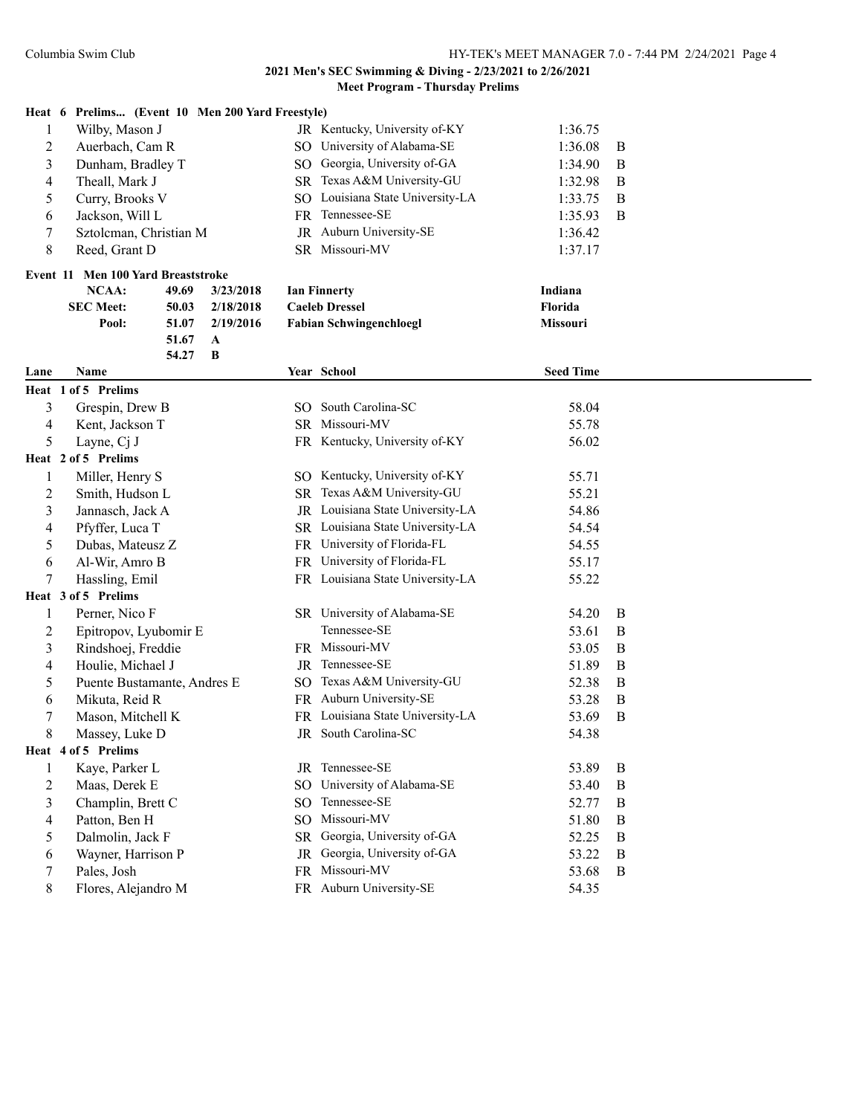|                             | Heat 6 Prelims (Event 10 Men 200 Yard Freestyle) |       |              |  |                                                             |                  |                  |
|-----------------------------|--------------------------------------------------|-------|--------------|--|-------------------------------------------------------------|------------------|------------------|
| 1                           | Wilby, Mason J                                   |       |              |  | JR Kentucky, University of-KY                               | 1:36.75          |                  |
| $\overline{2}$              | Auerbach, Cam R                                  |       |              |  | SO University of Alabama-SE                                 | 1:36.08          | B                |
| 3<br>Dunham, Bradley T      |                                                  |       |              |  | SO Georgia, University of-GA                                | 1:34.90          | B                |
| 4<br>Theall, Mark J         |                                                  |       |              |  | SR Texas A&M University-GU                                  | 1:32.98          | B                |
| 5<br>Curry, Brooks V        |                                                  |       |              |  | SO Louisiana State University-LA                            | 1:33.75          | B                |
| 6                           | Jackson, Will L                                  |       |              |  | FR Tennessee-SE                                             | 1:35.93          | B                |
| 7<br>Sztolcman, Christian M |                                                  |       |              |  | JR Auburn University-SE                                     | 1:36.42          |                  |
| 8                           | Reed, Grant D                                    |       |              |  | SR Missouri-MV                                              | 1:37.17          |                  |
|                             | Event 11 Men 100 Yard Breaststroke               |       |              |  |                                                             |                  |                  |
|                             | NCAA:                                            | 49.69 | 3/23/2018    |  | <b>Ian Finnerty</b>                                         | Indiana          |                  |
|                             | <b>SEC Meet:</b>                                 | 50.03 | 2/18/2018    |  | <b>Caeleb Dressel</b>                                       | Florida          |                  |
|                             | Pool:                                            | 51.07 | 2/19/2016    |  | <b>Fabian Schwingenchloegl</b>                              | Missouri         |                  |
|                             |                                                  | 51.67 | $\mathbf{A}$ |  |                                                             |                  |                  |
|                             |                                                  | 54.27 | $\bf{B}$     |  |                                                             |                  |                  |
| Lane                        | Name                                             |       |              |  | Year School                                                 | <b>Seed Time</b> |                  |
|                             | Heat 1 of 5 Prelims                              |       |              |  |                                                             |                  |                  |
| 3                           | Grespin, Drew B                                  |       |              |  | SO South Carolina-SC                                        | 58.04            |                  |
| $\overline{\mathcal{L}}$    | Kent, Jackson T                                  |       |              |  | SR Missouri-MV                                              | 55.78            |                  |
| 5                           | Layne, Cj J                                      |       |              |  | FR Kentucky, University of-KY                               | 56.02            |                  |
|                             | Heat 2 of 5 Prelims                              |       |              |  |                                                             |                  |                  |
| 1                           | Miller, Henry S                                  |       |              |  | SO Kentucky, University of-KY<br>SR Texas A&M University-GU | 55.71            |                  |
| 2                           | Smith, Hudson L                                  |       |              |  |                                                             | 55.21            |                  |
| $\mathfrak{Z}$              | Jannasch, Jack A                                 |       |              |  | JR Louisiana State University-LA                            | 54.86            |                  |
| 4                           | Pfyffer, Luca T                                  |       |              |  | SR Louisiana State University-LA                            | 54.54            |                  |
| 5                           | Dubas, Mateusz Z                                 |       |              |  | FR University of Florida-FL                                 | 54.55            |                  |
| 6                           | Al-Wir, Amro B                                   |       |              |  | FR University of Florida-FL                                 | 55.17            |                  |
| 7                           | Hassling, Emil                                   |       |              |  | FR Louisiana State University-LA                            | 55.22            |                  |
|                             | Heat 3 of 5 Prelims                              |       |              |  |                                                             |                  |                  |
| 1                           | Perner, Nico F                                   |       |              |  | SR University of Alabama-SE                                 | 54.20            | B                |
| 2                           | Epitropov, Lyubomir E                            |       |              |  | Tennessee-SE                                                | 53.61            | B                |
| 3                           | Rindshoej, Freddie                               |       |              |  | FR Missouri-MV                                              | 53.05            | B                |
| 4                           | Houlie, Michael J                                |       |              |  | JR Tennessee-SE                                             | 51.89            | B                |
| 5                           | Puente Bustamante, Andres E                      |       |              |  | SO Texas A&M University-GU                                  | 52.38            | B                |
| 6                           | Mikuta, Reid R                                   |       |              |  | FR Auburn University-SE                                     | 53.28            | B                |
| 7                           | Mason, Mitchell K                                |       |              |  | FR Louisiana State University-LA                            | 53.69            | $\boldsymbol{B}$ |
| 8                           | Massey, Luke D                                   |       |              |  | JR South Carolina-SC                                        | 54.38            |                  |
|                             | Heat 4 of 5 Prelims                              |       |              |  |                                                             |                  |                  |
| 1                           | Kaye, Parker L                                   |       |              |  | JR Tennessee-SE                                             | 53.89            | B                |
| 2                           | Maas, Derek E                                    |       |              |  | SO University of Alabama-SE                                 | 53.40            | B                |
| 3                           | Champlin, Brett C                                |       |              |  | SO Tennessee-SE                                             | 52.77            | B                |
| 4                           | Patton, Ben H                                    |       |              |  | SO Missouri-MV                                              | 51.80            | B                |
| 5                           | Dalmolin, Jack F                                 |       |              |  | SR Georgia, University of-GA                                | 52.25            | B                |
| 6                           | Wayner, Harrison P                               |       |              |  | JR Georgia, University of-GA                                | 53.22            | $\, {\bf B}$     |
| 7                           | Pales, Josh                                      |       |              |  | FR Missouri-MV                                              | 53.68            | $\bf{B}$         |
| 8                           | Flores, Alejandro M                              |       |              |  | FR Auburn University-SE                                     | 54.35            |                  |